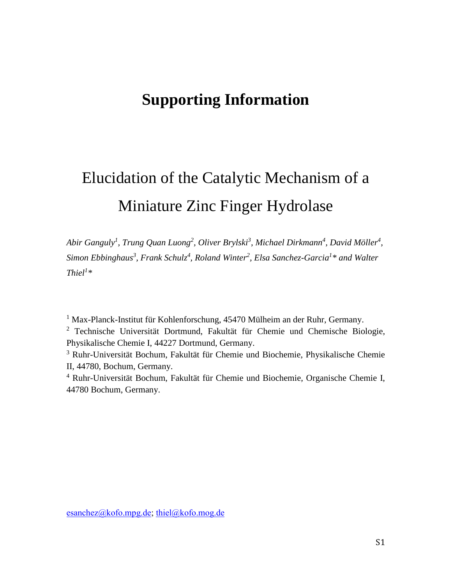## **Supporting Information**

# Elucidation of the Catalytic Mechanism of a Miniature Zinc Finger Hydrolase

*Abir Ganguly<sup>1</sup> , Trung Quan Luong<sup>2</sup> , Oliver Brylski<sup>3</sup> , Michael Dirkmann<sup>4</sup> , David Möller<sup>4</sup> , Simon Ebbinghaus<sup>3</sup> , Frank Schulz<sup>4</sup> , Roland Winter<sup>2</sup> , Elsa Sanchez-Garcia<sup>1</sup> \* and Walter Thiel<sup>1</sup> \**

<sup>1</sup> Max-Planck-Institut für Kohlenforschung, 45470 Mülheim an der Ruhr, Germany.

<sup>2</sup> Technische Universität Dortmund, Fakultät für Chemie und Chemische Biologie, Physikalische Chemie I, 44227 Dortmund, Germany.

<sup>3</sup> Ruhr-Universität Bochum, Fakultät für Chemie und Biochemie, Physikalische Chemie II, 44780, Bochum, Germany.

<sup>4</sup> Ruhr-Universität Bochum, Fakultät für Chemie und Biochemie, Organische Chemie I, 44780 Bochum, Germany.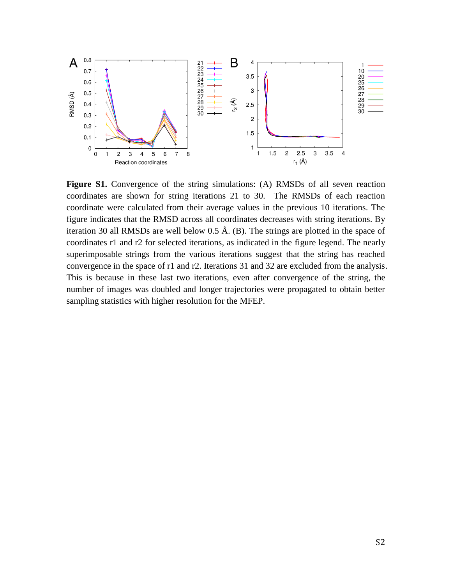

**Figure S1.** Convergence of the string simulations: (A) RMSDs of all seven reaction coordinates are shown for string iterations 21 to 30. The RMSDs of each reaction coordinate were calculated from their average values in the previous 10 iterations. The figure indicates that the RMSD across all coordinates decreases with string iterations. By iteration 30 all RMSDs are well below  $0.5 \text{ Å}$ . (B). The strings are plotted in the space of coordinates r1 and r2 for selected iterations, as indicated in the figure legend. The nearly superimposable strings from the various iterations suggest that the string has reached convergence in the space of r1 and r2. Iterations 31 and 32 are excluded from the analysis. This is because in these last two iterations, even after convergence of the string, the number of images was doubled and longer trajectories were propagated to obtain better sampling statistics with higher resolution for the MFEP.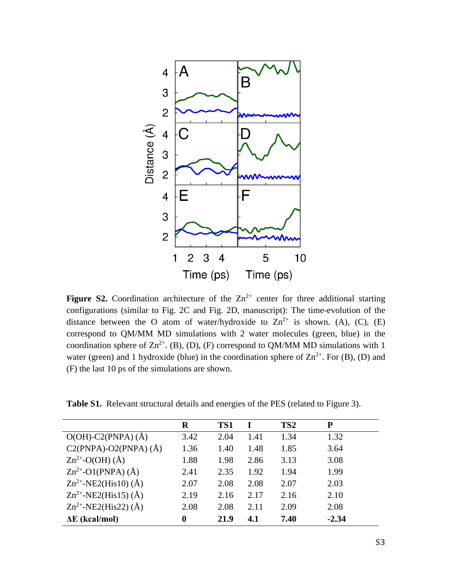

**Figure S2.** Coordination architecture of the  $Zn^{2+}$  center for three additional starting configurations (similar to Fig. 2C and Fig. 2D, manuscript): The time-evolution of the distance between the O atom of water/hydroxide to  $\text{Zn}^{2+}$  is shown. (A), (C), (E) correspond to QM/MM MD simulations with 2 water molecules (green, blue) in the coordination sphere of  $\text{Zn}^{2+}$ . (B), (D), (F) correspond to QM/MM MD simulations with 1 water (green) and 1 hydroxide (blue) in the coordination sphere of  $\text{Zn}^{2+}$ . For (B), (D) and (F) the last 10 ps of the simulations are shown.

|                                | $\bf R$          | TS1  |      | TS <sub>2</sub> | P       |
|--------------------------------|------------------|------|------|-----------------|---------|
| $O(OH)$ -C2(PNPA) (Å)          | 3.42             | 2.04 | 1.41 | 1.34            | 1.32    |
| $C2(PNPA)$ -O2(PNPA) (Å)       | 1.36             | 1.40 | 1.48 | 1.85            | 3.64    |
| $\text{Zn}^{2+}$ -O(OH) (Å)    | 1.88             | 1.98 | 2.86 | 3.13            | 3.08    |
| $\text{Zn}^{2+}$ -O1(PNPA) (Å) | 2.41             | 2.35 | 1.92 | 1.94            | 1.99    |
| $Zn^{2+}$ -NE2(His10) (Å)      | 2.07             | 2.08 | 2.08 | 2.07            | 2.03    |
| $Zn^{2+}$ -NE2(His15) (Å)      | 2.19             | 2.16 | 2.17 | 2.16            | 2.10    |
| $Zn^{2+}$ -NE2(His22) (Å)      | 2.08             | 2.08 | 2.11 | 2.09            | 2.08    |
| $\Delta E$ (kcal/mol)          | $\boldsymbol{0}$ | 21.9 | 4.1  | 7.40            | $-2.34$ |

Table S1. Relevant structural details and energies of the PES (related to Figure 3).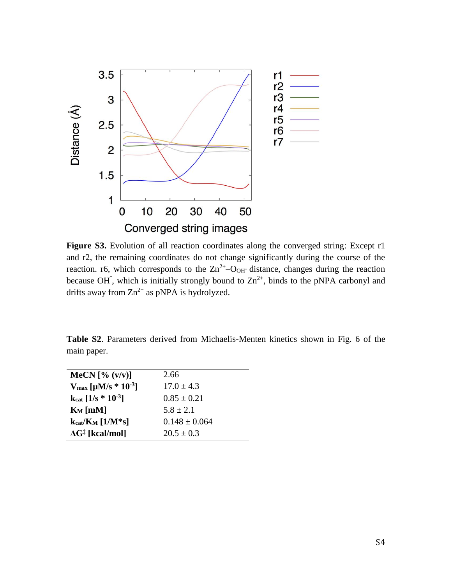

Figure S3. Evolution of all reaction coordinates along the converged string: Except r1 and r2, the remaining coordinates do not change significantly during the course of the reaction. r6, which corresponds to the  $\text{Zn}^{2+}$ -O<sub>OH</sub> distance, changes during the reaction because OH<sup> $\overline{\phantom{a}}$ </sup>, which is initially strongly bound to  $\text{Zn}^{2+}$ , binds to the pNPA carbonyl and drifts away from  $Zn^{2+}$  as pNPA is hydrolyzed.

**Table S2**. Parameters derived from Michaelis-Menten kinetics shown in Fig. 6 of the main paper.

| MeCN $[\% (v/v)]$                             | 2.66              |
|-----------------------------------------------|-------------------|
| $V_{\text{max}}$ [µM/s $*$ 10 <sup>-3</sup> ] | $17.0 + 4.3$      |
| $k_{cat}$ [1/s $*$ 10 <sup>-3</sup> ]         | $0.85 \pm 0.21$   |
| $K_M$ [mM]                                    | $5.8 + 2.1$       |
| $k_{cat}/K_M$ [1/M*s]                         | $0.148 \pm 0.064$ |
| $\Delta G^{\ddagger}$ [kcal/mol]              | $20.5 \pm 0.3$    |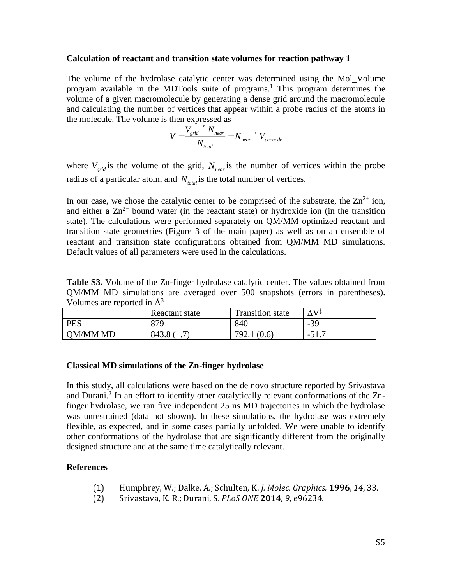#### **Calculation of reactant and transition state volumes for reaction pathway 1**

The volume of the hydrolase catalytic center was determined using the Mol\_Volume program available in the MDTools suite of programs. <sup>1</sup> This program determines the volume of a given macromolecule by generating a dense grid around the macromolecule and calculating the number of vertices that appear within a probe radius of the atoms in the molecule. The volume is then expressed as

$$
V = \frac{V_{grid}^{2} / N_{near}}{N_{total}} = N_{near}^{2} / V_{pernode}
$$

where  $V_{grid}$  is the volume of the grid,  $N_{near}$  is the number of vertices within the probe radius of a particular atom, and  $N_{total}$  is the total number of vertices.

In our case, we chose the catalytic center to be comprised of the substrate, the  $\text{Zn}^{2+}$  ion, and either a  $\text{Zn}^{2+}$  bound water (in the reactant state) or hydroxide ion (in the transition state). The calculations were performed separately on QM/MM optimized reactant and transition state geometries (Figure 3 of the main paper) as well as on an ensemble of reactant and transition state configurations obtained from QM/MM MD simulations. Default values of all parameters were used in the calculations.

**Table S3.** Volume of the Zn-finger hydrolase catalytic center. The values obtained from QM/MM MD simulations are averaged over 500 snapshots (errors in parentheses). Volumes are reported in  $\AA^3$ 

|            | Reactant state | <b>Transition state</b> | ∧V∓     |
|------------|----------------|-------------------------|---------|
| <b>PES</b> | 879            | 840                     | $-39$   |
| OM/MM MD   | 843.8 (1.7)    | 792.1 (0.6)             | $-J1.7$ |

#### **Classical MD simulations of the Zn-finger hydrolase**

In this study, all calculations were based on the de novo structure reported by Srivastava and Durani.<sup>2</sup> In an effort to identify other catalytically relevant conformations of the Znfinger hydrolase, we ran five independent 25 ns MD trajectories in which the hydrolase was unrestrained (data not shown). In these simulations, the hydrolase was extremely flexible, as expected, and in some cases partially unfolded. We were unable to identify other conformations of the hydrolase that are significantly different from the originally designed structure and at the same time catalytically relevant.

#### **References**

- (1) Humphrey, W.; Dalke, A.; Schulten, K. *J. Molec. Graphics.* **1996**, *14*, 33.
- (2) Srivastava, K. R.; Durani, S. *PLoS ONE* **2014**, *9*, e96234.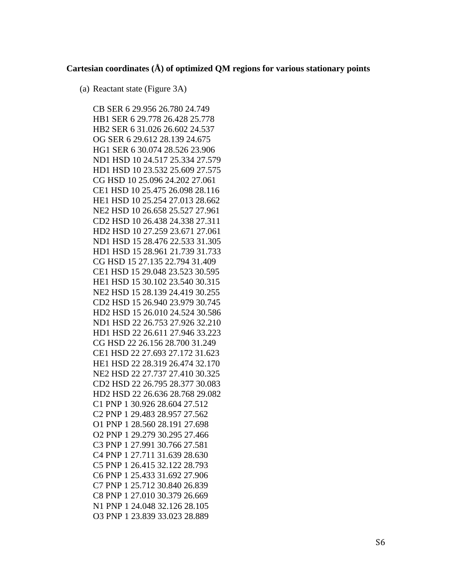### **Cartesian coordinates (Å) of optimized QM regions for various stationary points**

(a) Reactant state (Figure 3A)

CB SER 6 29.956 26.780 24.749 HB1 SER 6 29.778 26.428 25.778 HB2 SER 6 31.026 26.602 24.537 OG SER 6 29.612 28.139 24.675 HG1 SER 6 30.074 28.526 23.906 ND1 HSD 10 24.517 25.334 27.579 HD1 HSD 10 23.532 25.609 27.575 CG HSD 10 25.096 24.202 27.061 CE1 HSD 10 25.475 26.098 28.116 HE1 HSD 10 25.254 27.013 28.662 NE2 HSD 10 26.658 25.527 27.961 CD2 HSD 10 26.438 24.338 27.311 HD2 HSD 10 27.259 23.671 27.061 ND1 HSD 15 28.476 22.533 31.305 HD1 HSD 15 28.961 21.739 31.733 CG HSD 15 27.135 22.794 31.409 CE1 HSD 15 29.048 23.523 30.595 HE1 HSD 15 30.102 23.540 30.315 NE2 HSD 15 28.139 24.419 30.255 CD2 HSD 15 26.940 23.979 30.745 HD2 HSD 15 26.010 24.524 30.586 ND1 HSD 22 26.753 27.926 32.210 HD1 HSD 22 26.611 27.946 33.223 CG HSD 22 26.156 28.700 31.249 CE1 HSD 22 27.693 27.172 31.623 HE1 HSD 22 28.319 26.474 32.170 NE2 HSD 22 27.737 27.410 30.325 CD2 HSD 22 26.795 28.377 30.083 HD2 HSD 22 26.636 28.768 29.082 C1 PNP 1 30.926 28.604 27.512 C2 PNP 1 29.483 28.957 27.562 O1 PNP 1 28.560 28.191 27.698 O2 PNP 1 29.279 30.295 27.466 C3 PNP 1 27.991 30.766 27.581 C4 PNP 1 27.711 31.639 28.630 C5 PNP 1 26.415 32.122 28.793 C6 PNP 1 25.433 31.692 27.906 C7 PNP 1 25.712 30.840 26.839 C8 PNP 1 27.010 30.379 26.669 N1 PNP 1 24.048 32.126 28.105 O3 PNP 1 23.839 33.023 28.889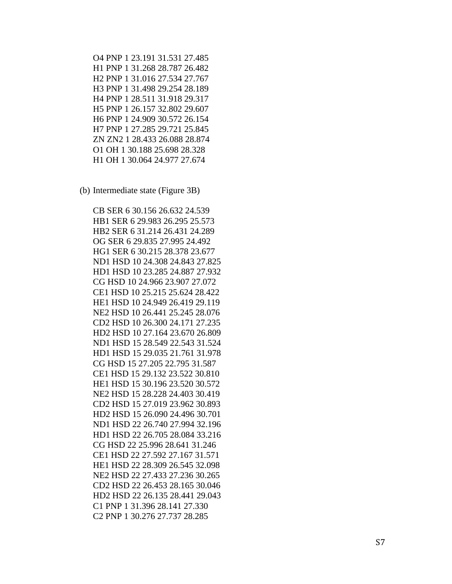O4 PNP 1 23.191 31.531 27.485 H1 PNP 1 31.268 28.787 26.482 H2 PNP 1 31.016 27.534 27.767 H3 PNP 1 31.498 29.254 28.189 H4 PNP 1 28.511 31.918 29.317 H5 PNP 1 26.157 32.802 29.607 H6 PNP 1 24.909 30.572 26.154 H7 PNP 1 27.285 29.721 25.845 ZN ZN2 1 28.433 26.088 28.874 O1 OH 1 30.188 25.698 28.328 H1 OH 1 30.064 24.977 27.674

(b) Intermediate state (Figure 3B)

CB SER 6 30.156 26.632 24.539 HB1 SER 6 29.983 26.295 25.573 HB2 SER 6 31.214 26.431 24.289 OG SER 6 29.835 27.995 24.492 HG1 SER 6 30.215 28.378 23.677 ND1 HSD 10 24.308 24.843 27.825 HD1 HSD 10 23.285 24.887 27.932 CG HSD 10 24.966 23.907 27.072 CE1 HSD 10 25.215 25.624 28.422 HE1 HSD 10 24.949 26.419 29.119 NE2 HSD 10 26.441 25.245 28.076 CD2 HSD 10 26.300 24.171 27.235 HD2 HSD 10 27.164 23.670 26.809 ND1 HSD 15 28.549 22.543 31.524 HD1 HSD 15 29.035 21.761 31.978 CG HSD 15 27.205 22.795 31.587 CE1 HSD 15 29.132 23.522 30.810 HE1 HSD 15 30.196 23.520 30.572 NE2 HSD 15 28.228 24.403 30.419 CD2 HSD 15 27.019 23.962 30.893 HD2 HSD 15 26.090 24.496 30.701 ND1 HSD 22 26.740 27.994 32.196 HD1 HSD 22 26.705 28.084 33.216 CG HSD 22 25.996 28.641 31.246 CE1 HSD 22 27.592 27.167 31.571 HE1 HSD 22 28.309 26.545 32.098 NE2 HSD 22 27.433 27.236 30.265 CD2 HSD 22 26.453 28.165 30.046 HD2 HSD 22 26.135 28.441 29.043 C1 PNP 1 31.396 28.141 27.330 C2 PNP 1 30.276 27.737 28.285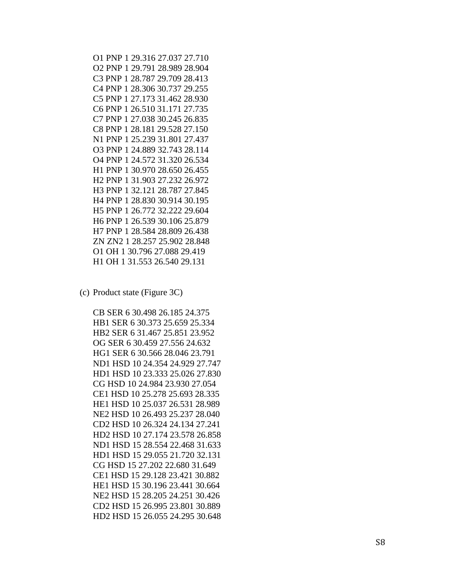- O1 PNP 1 29.316 27.037 27.710 O2 PNP 1 29.791 28.989 28.904 C3 PNP 1 28.787 29.709 28.413 C4 PNP 1 28.306 30.737 29.255 C5 PNP 1 27.173 31.462 28.930 C6 PNP 1 26.510 31.171 27.735 C7 PNP 1 27.038 30.245 26.835 C8 PNP 1 28.181 29.528 27.150 N1 PNP 1 25.239 31.801 27.437 O3 PNP 1 24.889 32.743 28.114 O4 PNP 1 24.572 31.320 26.534 H1 PNP 1 30.970 28.650 26.455 H2 PNP 1 31.903 27.232 26.972 H3 PNP 1 32.121 28.787 27.845 H4 PNP 1 28.830 30.914 30.195 H5 PNP 1 26.772 32.222 29.604 H6 PNP 1 26.539 30.106 25.879 H7 PNP 1 28.584 28.809 26.438 ZN ZN2 1 28.257 25.902 28.848 O1 OH 1 30.796 27.088 29.419 H1 OH 1 31.553 26.540 29.131
- (c) Product state (Figure 3C)

CB SER 6 30.498 26.185 24.375 HB1 SER 6 30.373 25.659 25.334 HB2 SER 6 31.467 25.851 23.952 OG SER 6 30.459 27.556 24.632 HG1 SER 6 30.566 28.046 23.791 ND1 HSD 10 24.354 24.929 27.747 HD1 HSD 10 23.333 25.026 27.830 CG HSD 10 24.984 23.930 27.054 CE1 HSD 10 25.278 25.693 28.335 HE1 HSD 10 25.037 26.531 28.989 NE2 HSD 10 26.493 25.237 28.040 CD2 HSD 10 26.324 24.134 27.241 HD2 HSD 10 27.174 23.578 26.858 ND1 HSD 15 28.554 22.468 31.633 HD1 HSD 15 29.055 21.720 32.131 CG HSD 15 27.202 22.680 31.649 CE1 HSD 15 29.128 23.421 30.882 HE1 HSD 15 30.196 23.441 30.664 NE2 HSD 15 28.205 24.251 30.426 CD2 HSD 15 26.995 23.801 30.889 HD2 HSD 15 26.055 24.295 30.648